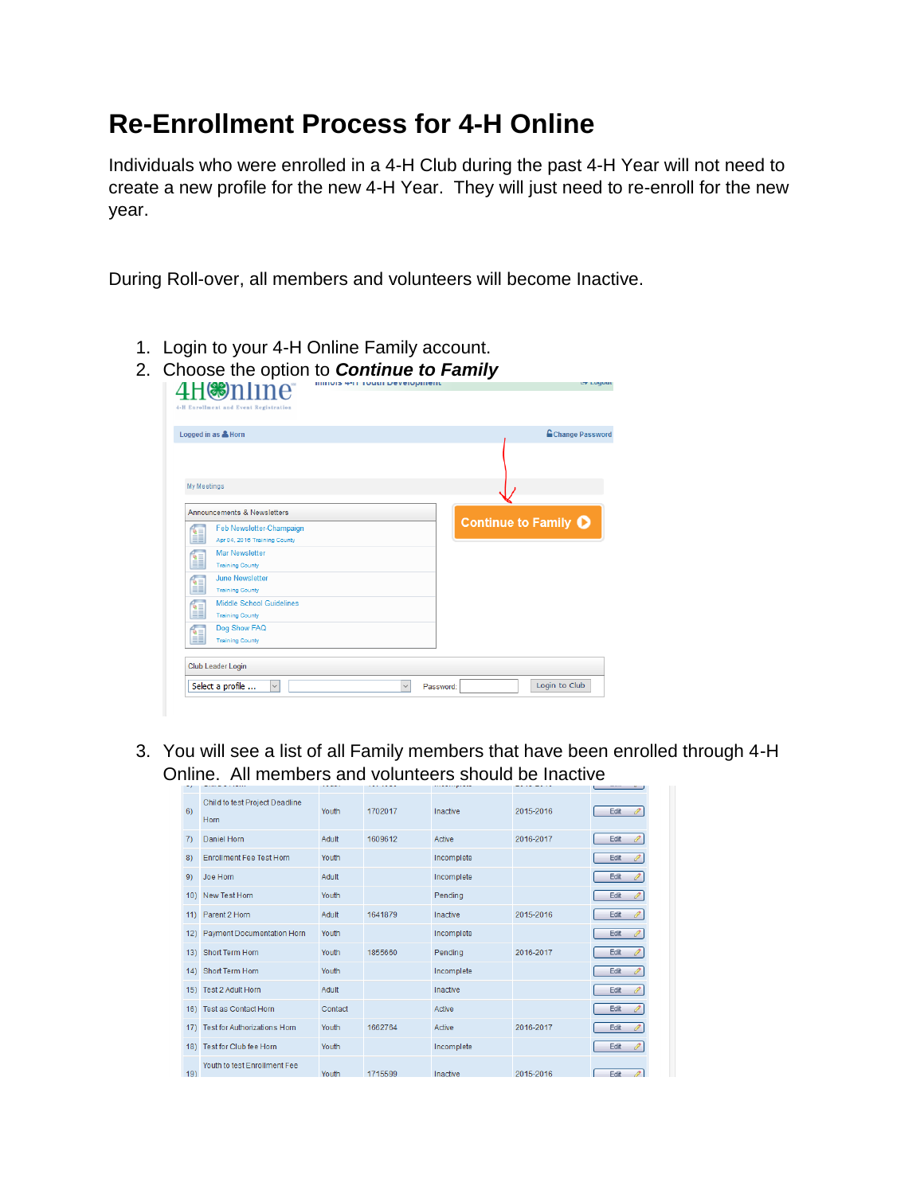## **Re-Enrollment Process for 4-H Online**

Individuals who were enrolled in a 4-H Club during the past 4-H Year will not need to create a new profile for the new 4-H Year. They will just need to re-enroll for the new year.

During Roll-over, all members and volunteers will become Inactive.

1. Login to your 4-H Online Family account.

|                      | Logged in as & Horn                                       | <b>E</b> Change Password |
|----------------------|-----------------------------------------------------------|--------------------------|
|                      |                                                           |                          |
| My Meetings          |                                                           |                          |
|                      | Announcements & Newsletters                               |                          |
| ਵਿ≡<br>m             | Feb Newsletter-Champaign<br>Apr 04, 2016 Training County  | Continue to Family O     |
| $\frac{1}{\epsilon}$ | <b>Mar Newsletter</b><br><b>Training County</b>           |                          |
| É                    | <b>June Newsletter</b><br><b>Training County</b>          |                          |
| É                    | <b>Middle School Guidelines</b><br><b>Training County</b> |                          |
| 1                    | Dog Show FAQ<br><b>Training County</b>                    |                          |

3. You will see a list of all Family members that have been enrolled through 4-H Online. All members and volunteers should be Inactive

| 6)  | Child to test Project Deadline<br>Horn | Youth   | 1702017 | Inactive   | 2015-2016 | Edit<br>Í |
|-----|----------------------------------------|---------|---------|------------|-----------|-----------|
| 7)  | Daniel Horn                            | Adult   | 1609612 | Active     | 2016-2017 | Edit      |
| 8)  | <b>Enrollment Fee Test Horn</b>        | Youth   |         | Incomplete |           | Edit      |
| 9)  | Joe Horn                               | Adult   |         | Incomplete |           | Edit      |
|     | 10) New Test Horn                      | Youth   |         | Pendina    |           | Edit      |
|     | 11) Parent 2 Horn                      | Adult   | 1641879 | Inactive   | 2015-2016 | Edit      |
|     | 12) Payment Documentation Horn         | Youth   |         | Incomplete |           | Edit      |
|     | 13) Short Term Horn                    | Youth   | 1855660 | Pendina    | 2016-2017 | Edit      |
|     | 14) Short Term Horn                    | Youth   |         | Incomplete |           | Edit      |
|     | 15) Test 2 Adult Horn                  | Adult   |         | Inactive   |           | Edit      |
|     | 16) Test as Contact Horn               | Contact |         | Active     |           | Edit      |
|     | 17) Test for Authorizations Horn       | Youth   | 1662764 | Active     | 2016-2017 | Edit      |
|     | 18) Test for Club fee Horn             | Youth   |         | Incomplete |           | Edit      |
| 19) | Youth to test Enrollment Fee           | Youth   | 1715599 | Inactive   | 2015-2016 | Edit      |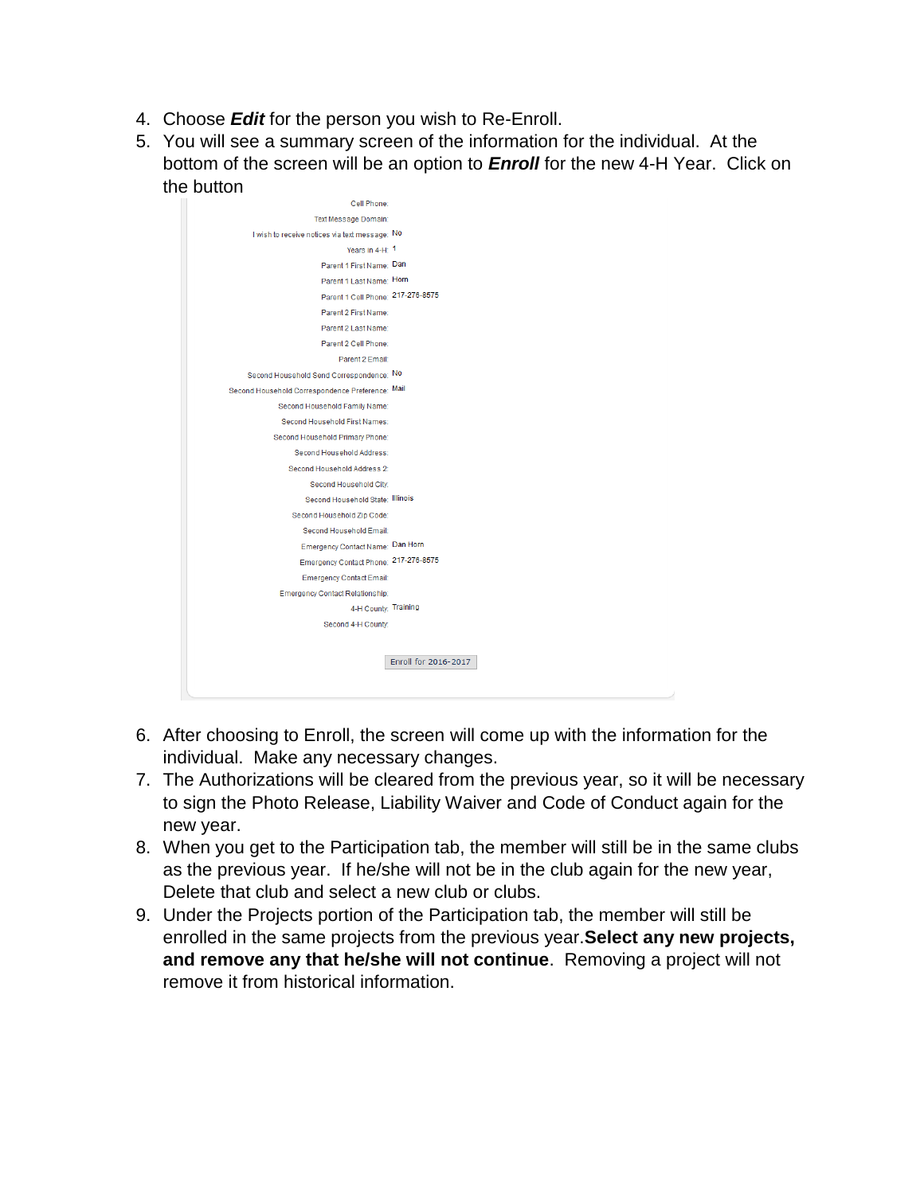- 4. Choose *Edit* for the person you wish to Re-Enroll.
- 5. You will see a summary screen of the information for the individual. At the bottom of the screen will be an option to *Enroll* for the new 4-H Year. Click on the button



- 6. After choosing to Enroll, the screen will come up with the information for the individual. Make any necessary changes.
- 7. The Authorizations will be cleared from the previous year, so it will be necessary to sign the Photo Release, Liability Waiver and Code of Conduct again for the new year.
- 8. When you get to the Participation tab, the member will still be in the same clubs as the previous year. If he/she will not be in the club again for the new year, Delete that club and select a new club or clubs.
- 9. Under the Projects portion of the Participation tab, the member will still be enrolled in the same projects from the previous year.**Select any new projects, and remove any that he/she will not continue**. Removing a project will not remove it from historical information.